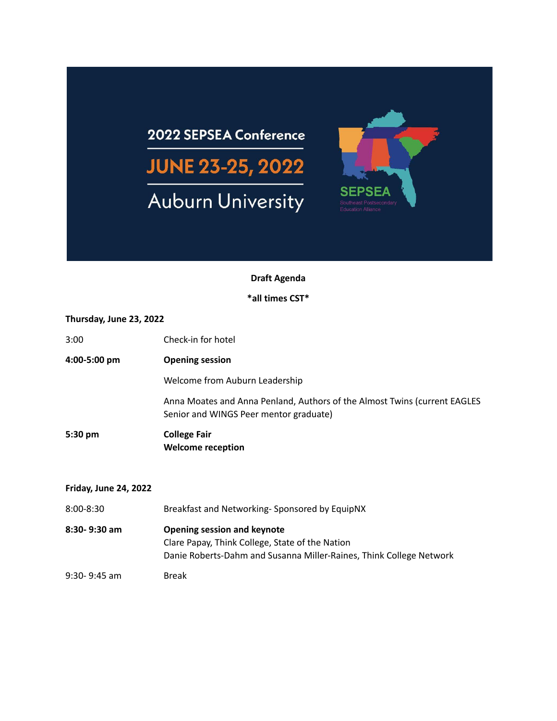# 2022 SEPSEA Conference **JUNE 23-25, 2022 Auburn University**

## **Draft Agenda**

**SEPSEA** 

#### **\*all times CST\***

#### **Thursday, June 23, 2022**

| 3:00         | Check-in for hotel                                                                                                  |
|--------------|---------------------------------------------------------------------------------------------------------------------|
| 4:00-5:00 pm | <b>Opening session</b>                                                                                              |
|              | Welcome from Auburn Leadership                                                                                      |
|              | Anna Moates and Anna Penland, Authors of the Almost Twins (current EAGLES<br>Senior and WINGS Peer mentor graduate) |
| 5:30 pm      | <b>College Fair</b><br><b>Welcome reception</b>                                                                     |

#### **Friday, June 24, 2022**

| 8:00-8:30     | Breakfast and Networking-Sponsored by EquipNX                       |  |
|---------------|---------------------------------------------------------------------|--|
| 8:30-9:30 am  | Opening session and keynote                                         |  |
|               | Clare Papay, Think College, State of the Nation                     |  |
|               | Danie Roberts-Dahm and Susanna Miller-Raines, Think College Network |  |
| 9:30- 9:45 am | <b>Break</b>                                                        |  |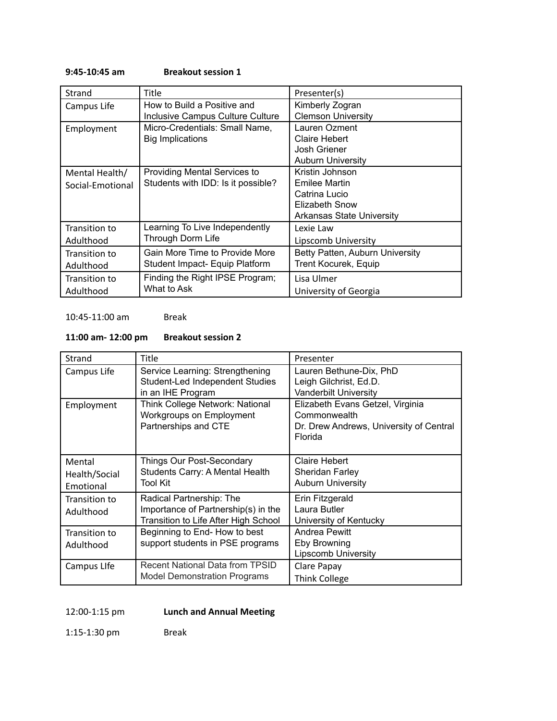#### **9:45-10:45 am Breakout session 1**

| Strand           | <b>Title</b>                        | Presenter(s)                    |
|------------------|-------------------------------------|---------------------------------|
| Campus Life      | How to Build a Positive and         | Kimberly Zogran                 |
|                  | Inclusive Campus Culture Culture    | <b>Clemson University</b>       |
| Employment       | Micro-Credentials: Small Name,      | Lauren Ozment                   |
|                  | <b>Big Implications</b>             | Claire Hebert                   |
|                  |                                     | Josh Griener                    |
|                  |                                     | <b>Auburn University</b>        |
| Mental Health/   | <b>Providing Mental Services to</b> | Kristin Johnson                 |
| Social-Emotional | Students with IDD: Is it possible?  | Emilee Martin                   |
|                  |                                     | Catrina Lucio                   |
|                  |                                     | Elizabeth Snow                  |
|                  |                                     | Arkansas State University       |
| Transition to    | Learning To Live Independently      | Lexie Law                       |
| Adulthood        | Through Dorm Life                   | Lipscomb University             |
| Transition to    | Gain More Time to Provide More      | Betty Patten, Auburn University |
| Adulthood        | Student Impact- Equip Platform      | Trent Kocurek, Equip            |
| Transition to    | Finding the Right IPSE Program;     | Lisa Ulmer                      |
| Adulthood        | What to Ask                         | University of Georgia           |

#### 10:45-11:00 am Break

#### **11:00 am- 12:00 pm Breakout session 2**

| Strand                               | <b>Title</b>                                                                                            | Presenter                                                                                              |
|--------------------------------------|---------------------------------------------------------------------------------------------------------|--------------------------------------------------------------------------------------------------------|
| Campus Life                          | Service Learning: Strengthening<br>Student-Led Independent Studies<br>in an IHE Program                 | Lauren Bethune-Dix, PhD<br>Leigh Gilchrist, Ed.D.<br><b>Vanderbilt University</b>                      |
| Employment                           | <b>Think College Network: National</b><br>Workgroups on Employment<br>Partnerships and CTE              | Elizabeth Evans Getzel, Virginia<br>Commonwealth<br>Dr. Drew Andrews, University of Central<br>Florida |
| Mental<br>Health/Social<br>Emotional | Things Our Post-Secondary<br>Students Carry: A Mental Health<br>Tool Kit                                | Claire Hebert<br><b>Sheridan Farley</b><br><b>Auburn University</b>                                    |
| Transition to<br>Adulthood           | Radical Partnership: The<br>Importance of Partnership(s) in the<br>Transition to Life After High School | Erin Fitzgerald<br>Laura Butler<br>University of Kentucky                                              |
| Transition to<br>Adulthood           | Beginning to End- How to best<br>support students in PSE programs                                       | Andrea Pewitt<br>Eby Browning<br><b>Lipscomb University</b>                                            |
| Campus Life                          | Recent National Data from TPSID<br>Model Demonstration Programs                                         | Clare Papay<br>Think College                                                                           |

12:00-1:15 pm **Lunch and Annual Meeting**

1:15-1:30 pm Break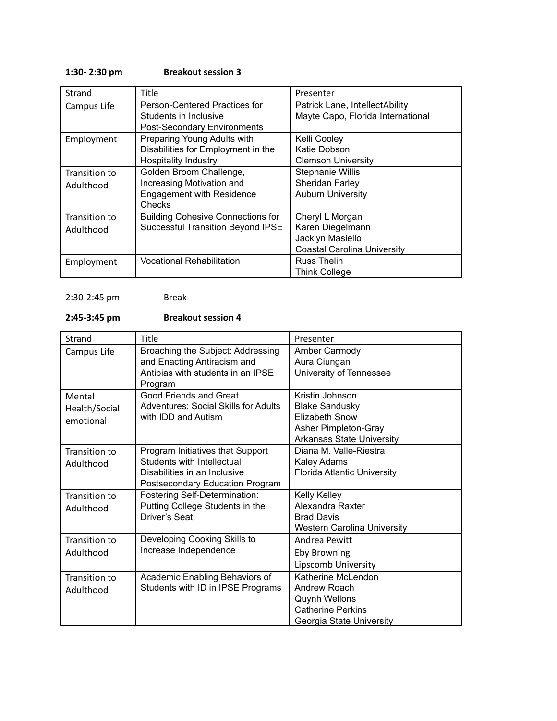#### **1:30- 2:30 pm Breakout session 3**

| Strand        | Title                                    | Presenter                          |
|---------------|------------------------------------------|------------------------------------|
| Campus Life   | Person-Centered Practices for            | Patrick Lane, IntellectAbility     |
|               | Students in Inclusive                    | Mayte Capo, Florida International  |
|               | <b>Post-Secondary Environments</b>       |                                    |
| Employment    | Preparing Young Adults with              | Kelli Cooley                       |
|               | Disabilities for Employment in the       | Katie Dobson                       |
|               | <b>Hospitality Industry</b>              | <b>Clemson University</b>          |
| Transition to | Golden Broom Challenge,                  | <b>Stephanie Willis</b>            |
| Adulthood     | Increasing Motivation and                | Sheridan Farley                    |
|               | <b>Engagement with Residence</b>         | <b>Auburn University</b>           |
|               | Checks                                   |                                    |
| Transition to | <b>Building Cohesive Connections for</b> | Cheryl L Morgan                    |
| Adulthood     | <b>Successful Transition Beyond IPSE</b> | Karen Diegelmann                   |
|               |                                          | Jacklyn Masiello                   |
|               |                                          | <b>Coastal Carolina University</b> |
| Employment    | <b>Vocational Rehabilitation</b>         | Russ Thelin                        |
|               |                                          | <b>Think College</b>               |

#### 2:30-2:45 pm Break

### **2:45-3:45 pm Breakout session 4**

| Strand                               | Title                                                                                                                             | Presenter                                                                                                                     |
|--------------------------------------|-----------------------------------------------------------------------------------------------------------------------------------|-------------------------------------------------------------------------------------------------------------------------------|
| Campus Life                          | Broaching the Subject: Addressing<br>and Enacting Antiracism and<br>Antibias with students in an IPSE<br>Program                  | Amber Carmody<br>Aura Ciungan<br>University of Tennessee                                                                      |
| Mental<br>Health/Social<br>emotional | Good Friends and Great<br><b>Adventures: Social Skills for Adults</b><br>with IDD and Autism                                      | Kristin Johnson<br><b>Blake Sandusky</b><br><b>Elizabeth Snow</b><br>Asher Pimpleton-Gray<br><b>Arkansas State University</b> |
| Transition to<br>Adulthood           | Program Initiatives that Support<br>Students with Intellectual<br>Disabilities in an Inclusive<br>Postsecondary Education Program | Diana M. Valle-Riestra<br>Kaley Adams<br><b>Florida Atlantic University</b>                                                   |
| Transition to<br>Adulthood           | Fostering Self-Determination:<br>Putting College Students in the<br>Driver's Seat                                                 | Kelly Kelley<br>Alexandra Raxter<br><b>Brad Davis</b><br><b>Western Carolina University</b>                                   |
| Transition to<br>Adulthood           | Developing Cooking Skills to<br>Increase Independence                                                                             | Andrea Pewitt<br><b>Eby Browning</b><br>Lipscomb University                                                                   |
| Transition to<br>Adulthood           | Academic Enabling Behaviors of<br>Students with ID in IPSE Programs                                                               | Katherine McLendon<br>Andrew Roach<br><b>Quynh Wellons</b><br><b>Catherine Perkins</b><br>Georgia State University            |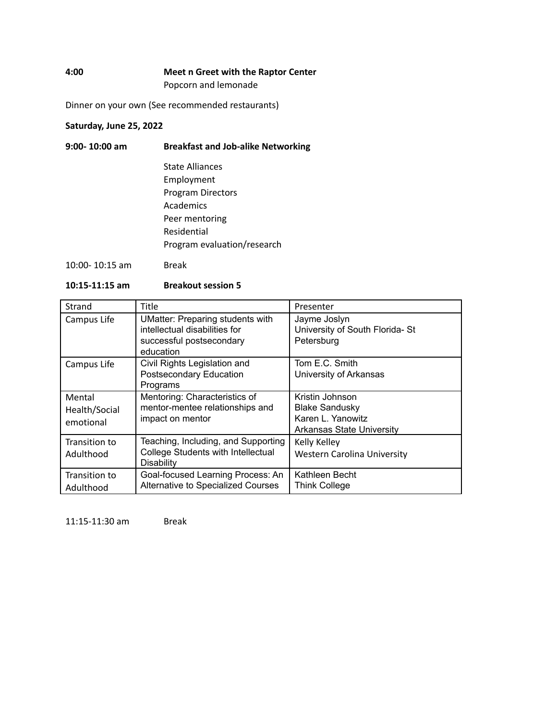#### **4:00 Meet n Greet with the Raptor Center** Popcorn and lemonade

Dinner on your own (See recommended restaurants)

#### **Saturday, June 25, 2022**

| $9:00 - 10:00$ am  | <b>Breakfast and Job-alike Networking</b> |  |
|--------------------|-------------------------------------------|--|
|                    | State Alliances                           |  |
|                    | Employment                                |  |
|                    | <b>Program Directors</b>                  |  |
|                    | Academics                                 |  |
|                    | Peer mentoring                            |  |
|                    | Residential                               |  |
|                    | Program evaluation/research               |  |
| $10:00 - 10:15$ am | Break                                     |  |

#### **10:15-11:15 am Breakout session 5**

| Strand                               | Title                                                                                                             | Presenter                                                                                         |
|--------------------------------------|-------------------------------------------------------------------------------------------------------------------|---------------------------------------------------------------------------------------------------|
| Campus Life                          | <b>UMatter: Preparing students with</b><br>intellectual disabilities for<br>successful postsecondary<br>education | Jayme Joslyn<br>University of South Florida- St<br>Petersburg                                     |
| Campus Life                          | Civil Rights Legislation and<br>Postsecondary Education<br>Programs                                               | Tom E.C. Smith<br>University of Arkansas                                                          |
| Mental<br>Health/Social<br>emotional | Mentoring: Characteristics of<br>mentor-mentee relationships and<br>impact on mentor                              | Kristin Johnson<br><b>Blake Sandusky</b><br>Karen L. Yanowitz<br><b>Arkansas State University</b> |
| Transition to<br>Adulthood           | Teaching, Including, and Supporting<br>College Students with Intellectual<br><b>Disability</b>                    | Kelly Kelley<br>Western Carolina University                                                       |
| Transition to<br>Adulthood           | Goal-focused Learning Process: An<br>Alternative to Specialized Courses                                           | Kathleen Becht<br>Think College                                                                   |

11:15-11:30 am Break